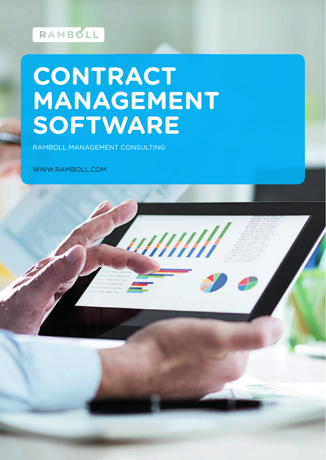## RAMBCLL

# **CONTRACT MANAGEMENT SOFTWARE**

u///////

RAMBOLL MANAGEMENT CONSULTING

WWW.RAMBOLL.COM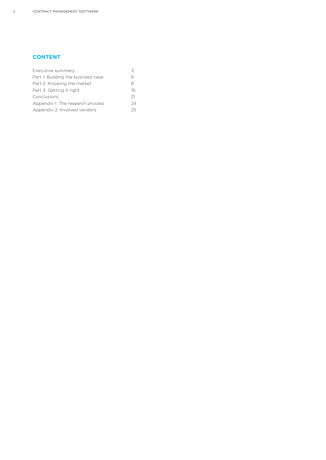#### **CONTENT**

| Executive summary                  |    |
|------------------------------------|----|
| Part 1: Building the business case |    |
| Part 2: Knowing the market         | 8  |
| Part 3: Getting it right           | 16 |
| Conclusions                        | 21 |
| Appendix 1: The research process   | 24 |
| Appendix 2: Involved vendors       | 25 |
|                                    |    |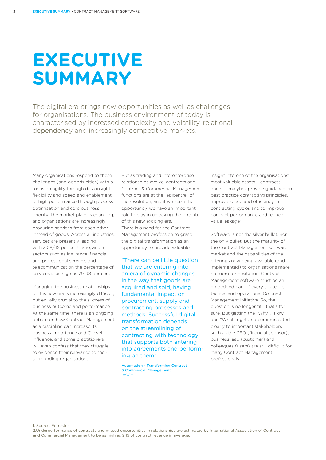# **EXECUTIVE SUMMARY**

The digital era brings new opportunities as well as challenges for organisations. The business environment of today is characterised by increased complexity and volatility, relational dependency and increasingly competitive markets.

Many organisations respond to these challenges (and opportunities) with a focus on agility through data insight, flexibility and speed and enablement of high performance through process optimisation and core business priority. The market place is changing, and organisations are increasingly procuring services from each other instead of goods. Across all industries, services are presently leading with a 58/42 per cent ratio, and in sectors such as insurance, financial and professional services and telecommunication the percentage of services is as high as 79-98 per cent<sup>1</sup>.

Managing the business relationships of this new era is increasingly difficult, but equally crucial to the success of business outcome and performance. At the same time, there is an ongoing debate on how Contract Management as a discipline can increase its business importance and C-level influence, and some practitioners will even confess that they struggle to evidence their relevance to their surrounding organisations.

But as trading and interenterprise relationships evolve, contracts and Contract & Commercial Management functions are at the "epicentre" of the revolution, and if we seize the opportunity, we have an important role to play in unlocking the potential of this new exciting era. There is a need for the Contract Management profession to grasp the digital transformation as an opportunity to provide valuable

"There can be little question that we are entering into an era of dynamic changes in the way that goods are acquired and sold, having fundamental impact on procurement, supply and contracting processes and methods. Successful digital transformation depends on the streamlining of contracting with technology that supports both entering into agreements and performing on them."

Automation – Transforming Contract & Commercial Management **IACCM** 

insight into one of the organisations' most valuable assets – contracts – and via analytics provide guidance on best practice contracting principles, improve speed and efficiency in contracting cycles and to improve contract performance and reduce value leakage<sup>2</sup>.

Software is not the silver bullet, nor the only bullet. But the maturity of the Contract Management software market and the capabilities of the offerings now being available (and implemented) to organisations make no room for hesitation. Contract Management software must be an embedded part of every strategic, tactical and operational Contract Management initiative. So, the question is no longer "if", that's for sure. But getting the "Why", "How" and "What" right and communicated clearly to important stakeholders such as the CFO (financial sponsor). business lead (customer) and colleagues (users) are still difficult for many Contract Management professionals.

1. Source: Forrester

2.Underperformance of contracts and missed oppertunities in relationships are estimated by International Association of Contract and Commercial Management to be as high as 9.15 of contract revenue in average.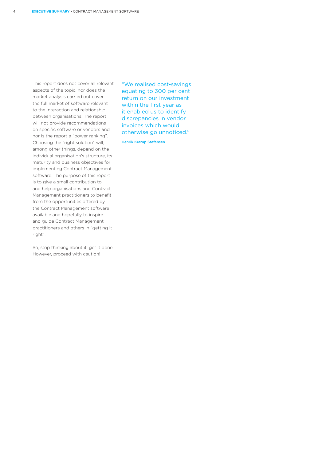This report does not cover all relevant aspects of the topic, nor does the market analysis carried out cover the full market of software relevant to the interaction and relationship between organisations. The report will not provide recommendations on specific software or vendors and nor is the report a "power ranking". Choosing the "right solution" will, among other things, depend on the individual organisation's structure, its maturity and business objectives for implementing Contract Management software. The purpose of this report is to give a small contribution to and help organisations and Contract Management practitioners to benefit from the opportunities offered by the Contract Management software available and hopefully to inspire and guide Contract Management practitioners and others in "getting it right".

So, stop thinking about it, get it done. However, proceed with caution!

"We realised cost-savings equating to 300 per cent return on our investment within the first year as it enabled us to identify discrepancies in vendor invoices which would otherwise go unnoticed."

Henrik Krarup Stefansen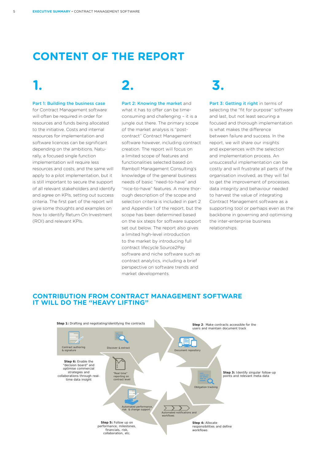### **CONTENT OF THE REPORT**

## **1. 2. 3.**

#### Part 1: Building the business case

for Contract Management software will often be required in order for resources and funds being allocated to the initiative. Costs and internal resources for implementation and software licences can be significant depending on the ambitions. Naturally, a focused single function implementation will require less resources and costs, and the same will apply to a pilot implementation, but it is still important to secure the support of all relevant stakeholders and identify and agree on KPIs, setting out success criteria. The first part of the report will give some thoughts and examples on how to identify Return On Investment (ROI) and relevant KPIs.

#### Part 2: Knowing the market and what it has to offer can be time-

consuming and challenging – it is a jungle out there. The primary scope of the market analysis is "postcontract" Contract Management software however, including contract creation. The report will focus on a limited scope of features and functionalities selected based on Ramboll Management Consulting's knowledge of the general business needs of basic "need-to-have" and "nice-to-have" features. A more thorough description of the scope and selection criteria is included in part 2 and Appendix 1 of the report, but the scope has been determined based on the six steps for software support set out below. The report also gives a limited high-level introduction to the market by introducing full contract lifecycle Source2Pay software and niche software such as contract analytics, including a brief perspective on software trends and market developments.

Part 3: Getting it right in terms of selecting the "fit for purpose" software and last, but not least securing a focused and thorough implementation is what makes the difference between failure and success. In the report, we will share our insights and experiences with the selection and implementation process. An unsuccessful implementation can be costly and will frustrate all parts of the organisation involved, as they will fail to get the improvement of processes, data integrity and behaviour needed to harvest the value of integrating Contract Management software as a supporting tool or perhaps even as the backbone in governing and optimising the inter-enterprise business relationships.

### **CONTRIBUTION FROM CONTRACT MANAGEMENT SOFTWARE IT WILL DO THE "HEAVY LIFTING"**

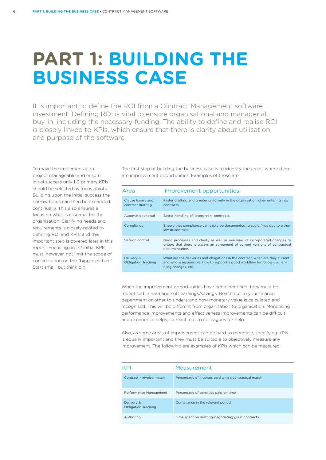## **PART 1: BUILDING THE BUSINESS CASE**

It is important to define the ROI from a Contract Management software investment. Defining ROI is vital to ensure organisational and managerial buy-in, including the necessary funding. The ability to define and realise ROI is closely linked to KPIs, which ensure that there is clarity about utilisation and purpose of the software.

To make the implementation project manageable and ensure initial success only 1-2 primary KPIs should be selected as focus points. Building upon the initial success the narrow focus can then be expanded continually. This also ensures a focus on what is essential for the organisation. Clarifying needs and requirements is closely related to defining ROI and KPIs, and this important step is covered later in this report. Focusing on 1-2 initial KPIs must, however, not limit the scope of consideration on the "bigger picture". Start small, but think big.

The first step of building the business case is to identify the areas, where there are improvement opportunities. Examples of these are:

| Area                                     | Improvement opportunities                                                                                                                                                           |  |  |
|------------------------------------------|-------------------------------------------------------------------------------------------------------------------------------------------------------------------------------------|--|--|
| Clause library and<br>contract drafting  | Faster drafting and greater uniformity in the organisation when entering into<br>contracts.                                                                                         |  |  |
| Automatic renewal                        | Better handling of "evergreen" contracts.                                                                                                                                           |  |  |
| Compliance                               | Ensure that compliance can easily be documented to avoid fines due to either<br>law or contract.                                                                                    |  |  |
| Version control                          | Good processes and clarity as well as overview of incorporated changes to<br>ensure that there is always an agreement of current versions of contractual<br>documentation.          |  |  |
| Delivery &<br><b>Obligation Tracking</b> | What are the deliveries and obligations in the contract, when are they current<br>and who is responsible, how to support a good workflow for follow-up, han-<br>dling changes, etc. |  |  |

When the improvement opportunities have been identified, they must be monetised in hard and soft earnings/savings. Reach out to your finance department or other to understand how monetary value is calculated and recognised. This will be different from organisation to organisation. Monetising performance improvements and effectiveness improvements can be difficult and experience helps, so reach out to colleagues for help.

Also, as some areas of improvement can be hard to monetise, specifying KPIs is equally important and they must be suitable to objectively measure any improvement. The following are examples of KPIs which can be measured:

| KPI                                      | Measurement                                          |
|------------------------------------------|------------------------------------------------------|
| Contract - invoice match                 | Percentage of invoices paid with a contractual match |
| Performance Management                   | Percentage of penalties paid on time                 |
| Delivery &<br><b>Obligation Tracking</b> | Compliance in the relevant period                    |
| Authoring                                | Time spent on drafting/negotiating great contracts   |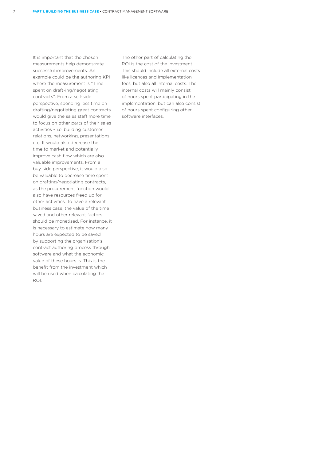It is important that the chosen measurements help demonstrate successful improvements. An example could be the authoring KPI where the measurement is "Time spent on draft-ing/negotiating contracts". From a sell-side perspective, spending less time on drafting/negotiating great contracts would give the sales staff more time to focus on other parts of their sales activities – i.e. building customer relations, networking, presentations, etc. It would also decrease the time to market and potentially improve cash flow which are also valuable improvements. From a buy-side perspective, it would also be valuable to decrease time spent on drafting/negotiating contracts, as the procurement function would also have resources freed up for other activities. To have a relevant business case, the value of the time saved and other relevant factors should be monetised. For instance, it is necessary to estimate how many hours are expected to be saved by supporting the organisation's contract authoring process through software and what the economic value of these hours is. This is the benefit from the investment which will be used when calculating the ROI.

The other part of calculating the ROI is the cost of the investment. This should include all external costs like licences and implementation fees, but also all internal costs. The internal costs will mainly consist of hours spent participating in the implementation, but can also consist of hours spent configuring other software interfaces.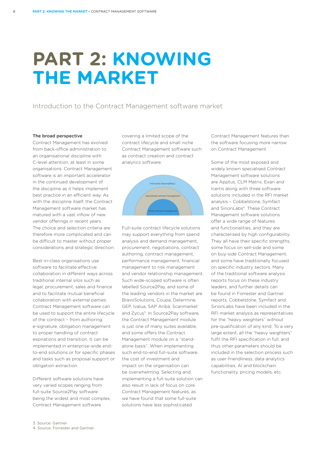## **PART 2: KNOWING THE MARKET**

#### Introduction to the Contract Management software market

#### The broad perspective

8

Contract Management has evolved from back-office administration to an organisational discipline with C-level attention, at least in some organisations. Contract Management software is an important accelerator in the continued development of the discipline as it helps implement best practice in an efficient way. As with the discipline itself, the Contract Management software market has matured with a vast inflow of new vendor offerings in recent years. The choice and selection criteria are therefore more complicated and can be difficult to master without proper considerations and strategic direction.

Best-in-class organisations use software to facilitate effective collaboration in different ways across traditional internal silos such as legal, procurement, sales and finance and to facilitate mutual beneficial collaboration with external parties. Contract Management software can be used to support the entire lifecycle of the contract – from authoring, e-signature, obligation management to proper handling of contract expirations and transition. It can be implemented in enterprise-wide endto-end solutions or for specific phases and tasks such as proposal support or obligation extraction.

Different software solutions have very varied scopes ranging from full-suite Source2Pay software being the widest and most complex, Contract Management software

covering a limited scope of the contract lifecycle and small niche Contract Management software such as contract creation and contract analytics software.



Full-suite contract lifecycle solutions may support everything from spend analysis and demand management, procurement, negotiations, contract authoring, contract management, performance management, financial management to risk management and vendor relationship management. Such wide-scoped software is often labelled Source2Pay, and some of the leading vendors in the market are BravoSolutions, Coupa, Determine, GEP, Ivalua, SAP Ariba, Scanmarket and Zycus<sup>3</sup>. In Source2Pay software, the Contract Management module is just one of many suites available, and some offers the Contract Management module on a "standalone basis". When implementing such end-to-end full-suite software, the cost of investment and impact on the organisation can be overwhelming. Selecting and implementing a full-suite solution can also result in lack of focus on core Contract Management features, as we have found that some full-suite solutions have less sophisticated

Contract Management features than the software focusing more narrow on Contract Management.

Some of the most exposed and widely known specialised Contract Management software solutions are Apptus, CLM Matrix, Exari and Icertis along with three software solutions included in the RFI market analysis – Cobbelstone, Symfact and SirionLabs<sup>4</sup>. These Contract Management software solutions offer a wide range of features and functionalities, and they are characterised by high configurability. They all have their specific strengths, some focus on sell-side and some on buy-side Contract Management, and some have traditionally focused on specific industry sectors. Many of the traditional software analysis reports focus on these industry leaders, and further details can be found in Forrester and Gartner reports. Cobbelstone, Symfact and SirionLabs have been included in the RFI market analysis as representatives for the "heavy weighters" without pre-qualification of any kind. To a very large extent, all the "heavy weighters" fulfil the RFI specification in full, and thus other parameters should be included in the selection process such as user-friendliness, data analytics capabilities, AI and blockchain functionality, pricing models, etc.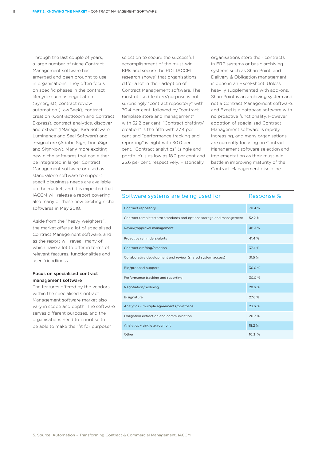Through the last couple of years, a large number of niche Contract Management software has emerged and been brought to use in organisations. They often focus on specific phases in the contract lifecycle such as negotiation (Synergist), contract review automation (LawGeek), contract creation (ContractRoom and Contract Express), contract analytics, discover and extract (IManage, Kira Software Luminance and Seal Software) and e-signature (Adobe Sign, DocuSign and SignNow). Many more exciting new niche softwares that can either be integrated in larger Contract Management software or used as stand-alone software to support specific business needs are available on the market, and it is expected that IACCM will release a report covering also many of these new exciting niche softwares in May 2018.

Aside from the "heavy weighters", the market offers a lot of specialised Contract Management software, and as the report will reveal, many of which have a lot to offer in terms of relevant features, functionalities and user-friendliness.

#### Focus on specialised contract management software

The features offered by the vendors within the specialised Contract Management software market also vary in scope and depth. The software serves different purposes, and the organisations need to prioritise to be able to make the "fit for purpose"

selection to secure the successful accomplishment of the must-win KPIs and secure the ROI. IACCM research shows<sup>5</sup> that organisations differ a lot in their adoption of Contract Management software. The most utilised feature/purpose is not surprisingly "contract repository" with 70.4 per cent, followed by "contract template store and management" with 52.2 per cent. "Contract drafting/ creation" is the fifth with 37.4 per cent and "performance tracking and reporting" is eight with 30.0 per cent. "Contract analytics" (single and portfolio) is as low as 18.2 per cent and 23.6 per cent, respectively. Historically,

organisations store their contracts in ERP systems or basic archiving systems such as SharePoint, and Delivery & Obligation management is done in an Excel-sheet. Unless heavily supplemented with add-ons, SharePoint is an archiving system and not a Contract Management software, and Excel is a database software with no proactive functionality. However, adoption of specialised Contract Management software is rapidly increasing, and many organisations are currently focusing on Contract Management software selection and implementation as their must-win battle in improving maturity of the Contract Management discipline.

| Software systems are being used for                                 | Response % |
|---------------------------------------------------------------------|------------|
| Contract repository                                                 | 70.4 %     |
| Contract template/term standards and options storage and management | 52.2 %     |
| Review/approval management                                          | 46.3%      |
| Proactive reminders/alerts                                          | 41.4 %     |
| Contract drafting/creation                                          | 37.4 %     |
| Collaborative development and review (shared system access)         | 31.5 %     |
| Bid/proposal support                                                | 30.0 %     |
| Performance tracking and reporting                                  | 30.0 %     |
| Negotiation/redlining                                               | 28.6 %     |
| E-signature                                                         | 27.6 %     |
| Analytics - multiple agreements/portfolios                          | 23.6 %     |
| Obligation extraction and communication                             | 20.7 %     |
| Analytics - single agreement                                        | 18.2 %     |
| Other                                                               | 10.3 %     |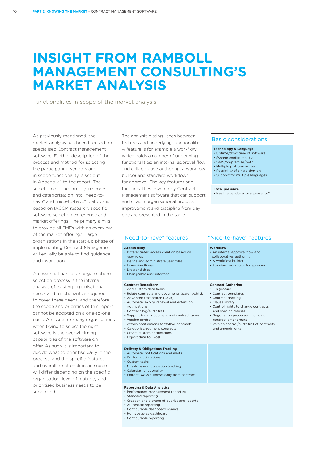### **INSIGHT FROM RAMBOLL MANAGEMENT CONSULTING'S MARKET ANALYSIS**

Functionalities in scope of the market analysis

As previously mentioned, the market analysis has been focused on specialised Contract Management software. Further description of the process and method for selecting the participating vendors and in scope functionality is set out in Appendix 1 to the report. The selection of functionality in scope and categorisation into "need-tohave" and "nice-to-have" features is based on IACCM research, specific software selection experience and market offerings. The primary aim is to provide all SMEs with an overview of the market offerings. Large organisations in the start-up phase of implementing Contract Managemen will equally be able to find guidance and inspiration.

An essential part of an organisation' selection process is the internal analysis of existing organisational needs and functionalities required to cover these needs, and therefore the scope and priorities of this report cannot be adopted on a one-to-one basis. An issue for many organisations when trying to select the right software is the overwhelming capabilities of the software on offer. As such it is important to decide what to prioritise early in the process, and the specific features and overall functionalities in scope will differ depending on the specific organisation, level of maturity and prioritised business needs to be supported.

The analysis distinguishes between features and underlying functionalities. A feature is for example a workflow, which holds a number of underlying functionalities: an internal approval flow and collaborative authoring, a workflow builder and standard workflows for approval. The key features and functionalities covered by Contract Management software that can support and enable organisational process improvement and discipline from day one are presented in the table.

#### Basic considerations

#### **Technology & Language**

- Uptime/downtime of software
- System configurability • SaaS/on-premise/both
- Multiple platform access
- Possibility of single sign-on
- Support for multiple languages
- 

#### **Local presence**

• Has the vendor a local presence?

| эf       | "Need-to-have" features                                                                                                                                                                                                                                                                                                                                                                                                                                 | "Nice-to-have" features                                                                                                                                                                                                                                                                                   |
|----------|---------------------------------------------------------------------------------------------------------------------------------------------------------------------------------------------------------------------------------------------------------------------------------------------------------------------------------------------------------------------------------------------------------------------------------------------------------|-----------------------------------------------------------------------------------------------------------------------------------------------------------------------------------------------------------------------------------------------------------------------------------------------------------|
| ıt<br>'s | <b>Accessibility</b><br>• Differentiated access creation based on<br>user roles<br>• Define and administrate user roles<br>• User-friendliness<br>• Drag and drop<br>• Changeable user interface                                                                                                                                                                                                                                                        | <b>Workflow</b><br>• An internal approval flow and<br>collaborative authoring<br>• A workflow builder<br>• Standard workflows for approval                                                                                                                                                                |
| rt<br>ns | <b>Contract Repository</b><br>• Add custom data fields<br>• Relate contracts and documents (parent-child)<br>• Advanced text search (OCR)<br>• Automatic expiry, renewal and extension<br>notifications<br>• Contract log/audit trail<br>• Support for all document and contract types<br>• Version control<br>• Attach notifications to "follow contract"<br>• Categorise/segment contracts<br>• Create custom notifications<br>• Export data to Excel | <b>Contract Authoring</b><br>• E-signature<br>• Contract templates<br>• Contract drafting<br>• Clause library<br>• Control rights to change contracts<br>and specific clauses<br>• Negotiation processes, including<br>contract amendment<br>• Version control/audit trail of contracts<br>and amendments |
|          | <b>Delivery &amp; Obligations Tracking</b><br>• Automatic notifications and alerts<br>• Custom notifications<br>• Custom tasks<br>• Milestone and obligation tracking<br>• Calendar functionality<br>• Extract D&Os automatically from contract                                                                                                                                                                                                         |                                                                                                                                                                                                                                                                                                           |
|          | <b>Reporting &amp; Data Analytics</b><br>• Performance management reporting<br>• Standard reporting<br>• Creation and storage of queries and reports<br>• Automatic reporting<br>• Configurable dashboards/views<br>• Homepage as dashboard<br>• Configurable reporting                                                                                                                                                                                 |                                                                                                                                                                                                                                                                                                           |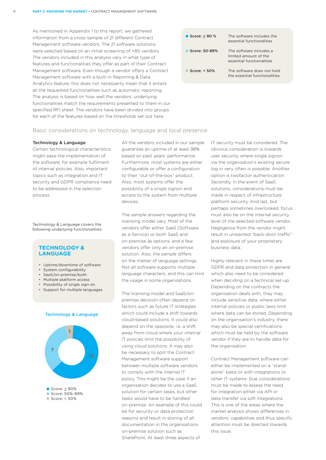As mentioned in Appendix 1 to this report, we gathered information from a cross-sample of 21 different Contract Management software vendors. The 21 software solutions were selected based on an initial screening of +80 vendors. The vendors included in this analysis vary in what type of features and functionalities they offer as part of their Contract Management software. Even though a vendor offers a Contract Management software with a built-in Reporting & Data Analytics feature, this does not necessarily mean that it entails all the requested functionalities such as automatic reporting. The analysis is based on how well the vendors' underlying functionalities match the requirements presented to them in our specified RFI sheet. The vendors have been divided into groups for each of the features based on the thresholds set out here.



#### Basic considerations on technology, language and local presence

#### Technology & Language

Certain technological characteristics might ease the implementation of the software, for example fulfilment of internal policies. Also, important topics such as integration and IT security and GDPR compliance need to be addressed in the selection process.

Technology & Language covers the following underlying functionalities:

#### **TECHNOLOGY & LANGUAGE**

- Uptime/downtime of software
- System configurability
- SaaS/on-premise/both
- Multiple platform access
- Possibility of single sign-on
- Support for multiple languages





All the vendors included in our sample guarantee an uptime of at least 98% based on past years' performance. Furthermore, most systems are either configurable or offer a configuration to their "out-of-the-box" product. Also, most systems offer the possibility of a single signon and access to the system from multiple devices.

The sample answers regarding the licensing model vary. Most of the vendors offer either SaaS (Software as a Service) or both SaaS and on-premise as options, and a few vendors offer only an on-premise solution. Also, the sample differs on the matter of language settings. Not all software supports multiple language characters, and this can limit the usage in some organisations.

The licensing model and SaaS/onpremise decision often depend on factors such as future IT strategies which could include a shift towards cloud-based solutions. It could also depend on the opposite, i.e. a shift away from cloud where your internal IT policies limit the possibility of using cloud solutions. It may also be necessary to split the Contract Management software support between multiple software vendors to comply with the internal IT policy. This might be the case if an organisation decides to use a SaaS solution for certain tasks, but other tasks would have to be handled on-premise. An example of this could be for security or data protection reasons and result in storing of all documentation in the organisations on-premise solution such as SharePoint. At least three aspects of

IT security must be considered. The obvious consideration is towards user security where single signon via the organisation's existing secure log in very often is possible. Another option is twofactor authentication. Secondly, in the event of SaaS solutions, considerations must be made in respect of infrastructure platform security. And last, but perhaps sometimes overlooked, focus must also be on the internal security level of the selected software vendor. Negligence from the vendor might result in unwanted "back-door-traffic" and exposure of your proprietary business data.

Highly relevant in these times are GDPR and data protection in general which also need to be considered when deciding on a technical set-up. Depending on the contracts the organisation deals with, they may include sensitive data, where either internal policies or public laws limit where data can be stored. Depending on the organisation's industry, there may also be special certifications which must be held by the software vendor if they are to handle data for the organisation.

Contract Management software can either be implemented on a "standalone" basis or with integrations to other IT systems. Due considerations must be made to assess the need for integration either via API or data transfer via soft integrations. This is one of the areas where the market analysis shows differences in vendors' capabilities and thus specific attention must be directed towards this issue.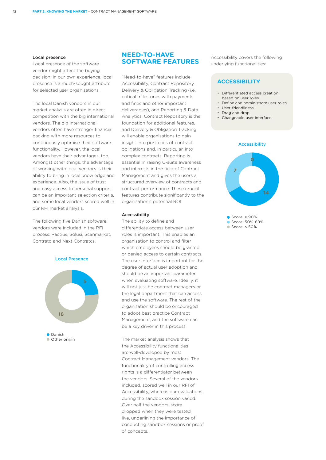#### Local presence

Local presence of the software vendor might affect the buying decision. In our own experience, local presence is a much-sought attribute for selected user organisations.

The local Danish vendors in our market analysis are often in direct competition with the big international vendors. The big international vendors often have stronger financial backing with more resources to continuously optimise their software functionality. However, the local vendors have their advantages, too. Amongst other things, the advantage of working with local vendors is their ability to bring in local knowledge and experience. Also, the issue of trust and easy access to personal support can be an important selection criteria, and some local vendors scored well in our RFI market analysis.

The following five Danish software vendors were included in the RFI process: Pactius, Solusi, Scanmarket, Contrato and Next Contratcs.



#### **NEED-TO-HAVE SOFTWARE FEATURES**

"Need-to-have" features include Accessibility, Contract Repository, Delivery & Obligation Tracking (i.e. critical milestones with payments and fines and other important deliverables), and Reporting & Data Analytics. Contract Repository is the foundation for additional features, and Delivery & Obligation Tracking will enable organisations to gain insight into portfolios of contract obligations and, in particular, into complex contracts. Reporting is essential in raising C-suite awareness and interests in the field of Contract Management and gives the users a structured overview of contracts and contract performance. These crucial features contribute significantly to the organisation's potential ROI.

#### Accessibility

The ability to define and differentiate access between user roles is important. This enables an organisation to control and filter which employees should be granted or denied access to certain contracts. The user interface is important for the degree of actual user adoption and should be an important parameter when evaluating software. Ideally, it will not just be contract managers or the legal department that can access and use the software. The rest of the organisation should be encouraged to adopt best practice Contract Management, and the software can be a key driver in this process.

The market analysis shows that the Accessibility functionalities are well-developed by most Contract Management vendors. The functionality of controlling access rights is a differentiator between the vendors. Several of the vendors included, scored well in our RFI of Accessibility, whereas our evaluations during the sandbox session varied. Over half the vendors' score dropped when they were tested live, underlining the importance of conducting sandbox sessions or proof of concepts.

Accessibility covers the following underlying functionalities:

#### **ACCESSIBILITY**

- Differentiated access creation based on user roles
- Define and administrate user roles
- User-friendliness
- Drag and drop • Changeable user interface
- 



 $\bullet$  Score:  $\geq 90\%$ Score: 50%-89% Score: < 50%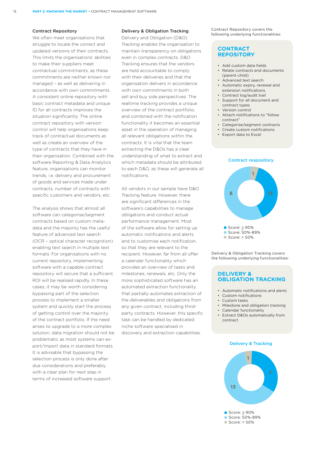#### Contract Repository

We often meet organisations that struggle to locate the correct and updated versions of their contracts. This limits the organisations' abilities to make their suppliers meet contractual commitments, as these commitments are neither known nor managed – as well as delivering in accordance with own commitments. A consistent online repository with basic contract metadata and unique ID for all contracts improves the situation significantly. The online contract repository with version control will help organisations keep track of contractual documents as well as create an overview of the type of contracts that they have in their organisation. Combined with the software Reporting & Data Analytics feature, organisations can monitor trends, i.e. delivery and procurement of goods and services made under contracts, number of contracts with specific customers and vendors, etc.

The analysis shows that almost all software can categorise/segment contracts based on custom metadata and the majority has the useful feature of advanced text search (OCR – optical character recognition) enabling text search in multiple text formats. For organisations with no current repository, implementing software with a capable contract repository will secure that a sufficient ROI will be realised rapidly. In these cases, it may be worth considering bypassing part of the selection process to implement a smaller system and quickly start the process of getting control over the majority of the contract portfolio. If the need arises to upgrade to a more complex solution, data migration should not be problematic as most systems can export/import data in standard formats. It is advisable that bypassing the selection process is only done after due considerations and preferably with a clear plan for next step in terms of increased software support.

#### Delivery & Obligation Tracking

Delivery and Obligation (D&O) Tracking enables the organisation to maintain transparency on obligations even in complex contracts. D&O Tracking ensures that the vendors are held accountable to comply with their deliveries and that the organisation delivers in accordance with own commitments in both sell and buy side perspectives. The realtime tracking provides a unique overview of the contract portfolio, and combined with the notification functionality it becomes an essential asset in the operation of managing all relevant obligations within the contracts. It is vital that the team extracting the D&Os has a clear understanding of what to extract and which metadata should be attributed to each D&O, as these will generate all notifications.

All vendors in our sample have D&O Tracking feature. However, there are significant differences in the software's capabilities to manage obligations and conduct actual performance management. Most of the software allow for setting up automatic notifications and alerts and to customise each notification, so that they are relevant to the recipient. However, far from all offer a calendar functionality which provides an overview of tasks and milestones, renewals, etc. Only the more sophisticated software has an automated extraction functionality that partially automates extraction of the deliverables and obligations from any given contract, including thirdparty contracts. However, this specific task can be handled by dedicated niche software specialised in discovery and extraction capabilities.

Contract Repository covers the following underlying functionalities:

#### **CONTRACT REPOSITORY**

- Add custom data fields
- Relate contracts and documents (parent-child)
- Advanced text search
- Automatic expiry, renewal and extension notifications
- Contract log/audit trail • Support for all document and contract types
- Version control
- Attach notifications to "follow contract"
- Categorise/segment contracts
- Create custom notifications
- Export data to Excel



Delivery & Obligation Tracking covers the following underlying functionalities:

#### **DELIVERY & OBLIGATION TRACKING**

- Automatic notifications and alerts
- Custom notifications
- Custom tasks
- Milestone and obligation tracking
- Calendar functionality
- Extract D&Os automatically from contract

#### Delivery & Tracking

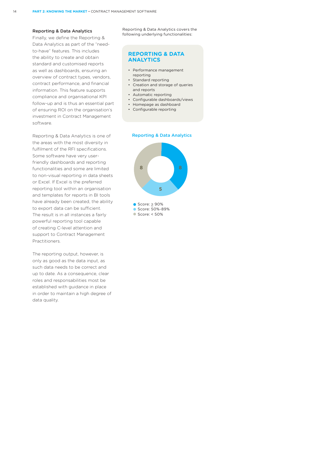#### Reporting & Data Analytics

Finally, we define the Reporting & Data Analytics as part of the "needto-have" features. This includes the ability to create and obtain standard and customised reports as well as dashboards, ensuring an overview of contract types, vendors, contract performance, and financial information. This feature supports compliance and organisational KPI follow-up and is thus an essential part of ensuring ROI on the organisation's investment in Contract Management software.

Reporting & Data Analytics is one of the areas with the most diversity in fulfilment of the RFI specifications. Some software have very userfriendly dashboards and reporting functionalities and some are limited to non-visual reporting in data sheets or Excel. If Excel is the preferred reporting tool within an organisation and templates for reports in BI tools have already been created, the ability to export data can be sufficient. The result is in all instances a fairly powerful reporting tool capable of creating C-level attention and support to Contract Management Practitioners.

The reporting output, however, is only as good as the data input, as such data needs to be correct and up to date. As a consequence, clear roles and responsabilities most be established with guidance in place in order to maintain a high degree of data quality.

Reporting & Data Analytics covers the following underlying functionalities:

#### **REPORTING & DATA ANALYTICS**

- Performance management reporting
- Standard reporting
- Creation and storage of queries and reports
- Automatic reporting
- Configurable dashboards/views
- Homepage as dashboard
- Configurable reporting

#### Reporting & Data Analytics



Score: 50%-89%

Score: < 50%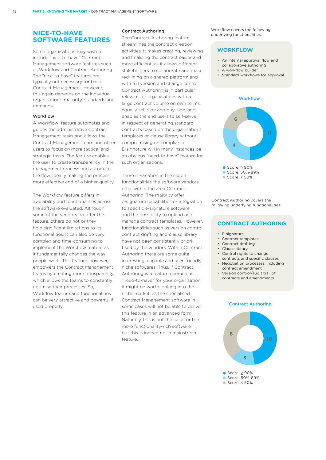#### **NICE-TO-HAVE SOFTWARE FEATURES**

Some organisations may wish to include "nice-to-have" Contract Management software features such as Workflow and Contract Authoring. The "nice-to-have" features are typically not necessary for basic Contract Management. However, this again depends on the individual organisation's maturity, standards and demands.

#### Workflow

A Workflow feature automates and guides the administrative Contract Management tasks and allows the Contract Management team and other users to focus on more tactical and strategic tasks. The feature enables the user to create transparency in the management process and automate the flow, ideally making the process more effective and of a higher quality.

The Workflow feature differs in availability and functionalities across the software evaluated. Although some of the vendors do offer the feature, others do not or they hold significant limitations to its functionalities. It can also be very complex and time-consuming to implement the Workflow feature as it fundamentally changes the way people work. This feature, however, empowers the Contract Management teams by creating more transparency, which allows the teams to constantly optimise their processes. So, Workflow feature and functionalities can be very attractive and powerful if used properly.

#### Contract Authoring

The Contract Authoring feature streamlines the contract creation activities. It makes creating, reviewing and finalising the contract easier and more efficient, as it allows different stakeholders to collaborate and make red-lining on a shared platform and with full version and change control. Contract Authoring is in particular relevant for organisations with a large contract volume on own terms, equally sell-side and buy-side, and enables the end users to self-serve in respect of generating standard contracts based on the organisations templates or clause library without compromising on compliance. E-signature will in many instances be an obvious "need-to-have" feature for such organisations.

There is variation in the scope functionalities the software vendors offer within the area Contract Authoring. The majority offer e-signature capabilities or integration to specific e-signature software and the possibility to upload and manage contract templates. However, functionalities such as version control, contract drafting and clause library have not been consistently prioritised by the vendors. Within Contract Authoring there are some quite interesting, capable and user-friendly niche softwares. Thus, if Contract Authoring is a feature deemed as "need-to-have" for your organisation, it might be worth looking into the niche market, as the specialised Contract Management software in some cases will not be able to deliver this feature in an advanced form. Naturally, this is not the case for the more functionality-rich software, but this is indeed not a mainstream feature.

Workflow covers the following underlying functionalities:

#### **WORKFLOW**

- An internal approval flow and collaborative authoring
- A workflow builder
- Standard workflows for approval

#### **Workflow**



Contract Authoring covers the following underlying functionalities:

#### **CONTRACT AUTHORING**

- E-signature
- Contract templates
- Contract drafting
- Clause library
- Control rights to change contracts and specific clauses
- Negotiation processes, including contract amendment
- Version control/audit trail of contracts and amendments

#### Contract Authoring

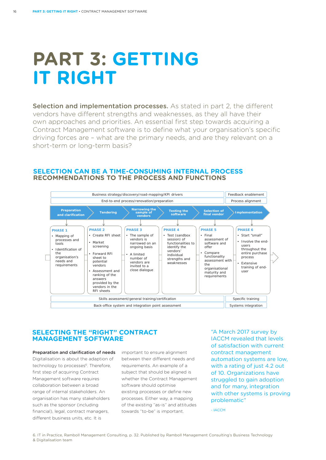## **PART 3: GETTING IT RIGHT**

Selection and implementation processes. As stated in part 2, the different vendors have different strengths and weaknesses, as they all have their own approaches and priorities. An essential first step towards acquiring a Contract Management software is to define what your organisation's specific driving forces are – what are the primary needs, and are they relevant on a short-term or long-term basis?

### **SELECTION CAN BE A TIME-CONSUMING INTERNAL PROCESS** RECOMMENDATIONS TO THE PROCESS AND FUNCTIONS



#### **SELECTING THE "RIGHT" CONTRACT MANAGEMENT SOFTWARE**

Preparation and clarification of needs Digitalisation is about the adaption of technology to processes<sup>6</sup>. Therefore, first step of acquiring Contract Management software requires collaboration between a broad range of internal stakeholders. An organisation has many stakeholders such as the sponsor (including financial), legal, contract managers different business units, etc. It is

important to ensure alignment between their different needs and requirements. An example of a subject that should be aligned is whether the Contract Management software should optimise existing processes or define new processes. Either way, a mapping of the existing "as-is" and attitudes towards "to-be" is important.

"A March 2017 survey by IACCM revealed that levels of satisfaction with current contract management automation systems are low, with a rating of just 4.2 out of 10. Organizations have struggled to gain adoption and for many, integration with other systems is proving problematic"

- IACCM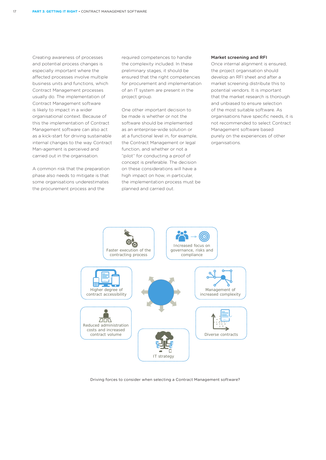Creating awareness of processes and potential process changes is especially important where the affected processes involve multiple business units and functions, which Contract Management processes usually do. The implementation of Contract Management software is likely to impact in a wider organisational context. Because of this the implementation of Contract Management software can also act as a kick-start for driving sustainable internal changes to the way Contract Man-agement is perceived and carried out in the organisation.

A common risk that the preparation phase also needs to mitigate is that some organisations underestimates the procurement process and the

required competences to handle the complexity included. In these preliminary stages, it should be ensured that the right competencies for procurement and implementation of an IT system are present in the project group.

One other important decision to be made is whether or not the software should be implemented as an enterprise-wide solution or at a functional level in, for example, the Contract Management or legal function, and whether or not a "pilot" for conducting a proof of concept is preferable. The decision on these considerations will have a high impact on how, in particular, the implementation process must be planned and carried out.

#### Market screening and RFI

Once internal alignment is ensured, the project organisation should develop an RFI sheet and after a market screening distribute this to potential vendors. It is important that the market research is thorough and unbiased to ensure selection of the most suitable software. As organisations have specific needs, it is not recommended to select Contract Management software based purely on the experiences of other organisations.



Driving forces to consider when selecting a Contract Management software?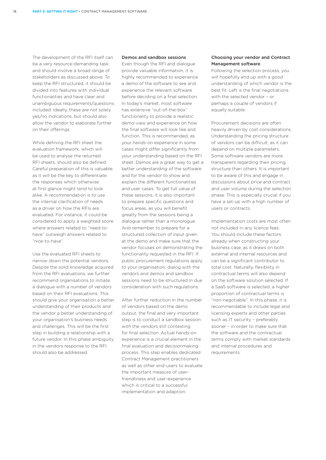The development of the RFI itself can be a very resource-demanding task and should involve a broad range of stakeholders as discussed above. To keep the RFI structured, it should be divided into features with individual functionalities and have clear and unambiguous requirements/questions included. Ideally, these are not solely yes/no indications, but should also allow the vendor to elaborate further on their offerings.

While defining the RFI sheet the evaluation framework, which will be used to analyse the returned RFI sheets, should also be defined. Careful preparation of this is valuable, as it will be the key to differentiate the responses which otherwise at first glance might tend to look alike. A recommendation is to use the internal clarification of needs as a driver on how the RFIs are evaluated. For instance, it could be considered to apply a weighted score where answers related to "need-tohave" outweigh answers related to "nice-to-have".

Use the evaluated RFI sheets to narrow down the potential vendors. Despite the solid knowledge acquired from the RFI evaluations, we further recommend organisations to initiate a dialogue with a number of vendors based on their RFI evaluations. This should give your organisation a better understanding of their products and the vendor a better understanding of your organisation's business needs and challenges. This will be the first step in building a relationship with a future vendor. In this phase ambiguity in the vendors response to the RFI should also be addressed.

#### Demos and sandbox sessions

Even though the RFI and dialogue provide valuable information, it is highly recommended to experience a demo of the software to see and experience the relevant software before deciding on a final selection. In today's market, most software has extensive "out-of-the-box" functionality to provide a realistic demo-view and experience on how the final software will look like and function. This is recommended, as your hands-on experience in some cases might differ significantly from your understanding based on the RFI sheet. Demos are a great way to get a better understanding of the software and for the vendor to show and explain the different functionalities and user cases. To get full value of these sessions, it is also important to prepare specific questions and focus areas, as you will benefit greatly from the sessions being a dialogue rather than a monologue. And remember to prepare for a structured collection of input given at the demo and make sure that the vendor focuses on demonstrating the functionality requested in the RFI. If public procurement regulations apply to your organisation, dialog with the vendors and demos and sandbox sessions need to be structured in due consideration with such regulations.

After further reduction in the number of vendors based on the demo output, the final and very important step is to conduct a sandbox session with the vendors still contesting for final selection. Actual hands-on experience is a crucial element in the final evaluation and decisionmaking process. This step enables dedicated Contract Management practitioners as well as other end-users to evaluate the important measure of userfriendliness and user-experience which is critical to a successful implementation and adaption.

#### Choosing your vendor and Contract Management software

Following the selection process, you will hopefully end up with a good understanding of which vendor is the best fit. Left is the final negotiations with the selected vendor – or perhaps a couple of vendors if equally suitable.

Procurement decisions are often heavily driven by cost considerations. Understanding the pricing structure of vendors can be difficult, as it can depend on multiple parameters. Some software vendors are more transparent regarding their pricing structure than others. It is important to be aware of this and engage in discussions about price and contract and user volume during the selection phase. This is especially crucial if you have a set-up with a high number of users or contracts.

Implementation costs are most often not included in any licence fees. You should include these factors already when constructing your business case, as it draws on both external and internal resources and can be a significant contributor to total cost. Naturally, flexibility in contractual terms will also depend on the software solution selected. If a SaaS software is selected, a higher proportion of contractual terms is "non-negotiable". In this phase, it is recommendable to include legal and licensing experts and other parties such as IT security – preferably sooner – in order to make sure that the software and the contractual terms comply with market standards and internal procedures and requirements.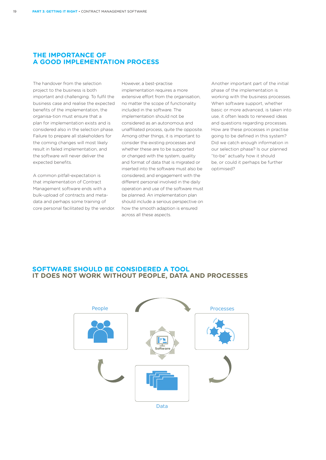#### **THE IMPORTANCE OF A GOOD IMPLEMENTATION PROCESS**

The handover from the selection project to the business is both important and challenging. To fulfil the business case and realise the expected benefits of the implementation, the organisa-tion must ensure that a plan for implementation exists and is considered also in the selection phase. Failure to prepare all stakeholders for the coming changes will most likely result in failed implementation, and the software will never deliver the expected benefits.

A common pitfall-expectation is that implementation of Contract Management software ends with a bulk-upload of contracts and metadata and perhaps some training of core personal facilitated by the vendor. However, a best-practise implementation requires a more extensive effort from the organisation, no matter the scope of functionality included in the software. The implementation should not be considered as an autonomous and unaffiliated process, quite the opposite. Among other things, it is important to consider the existing processes and whether these are to be supported or changed with the system, quality and format of data that is migrated or inserted into the software must also be considered, and engagement with the different personal involved in the daily operation and use of the software must be planned. An implementation plan should include a serious perspective on how the smooth adaption is ensured across all these aspects.

Another important part of the initial phase of the implementation is working with the business processes. When software support, whether basic or more advanced, is taken into use, it often leads to renewed ideas and questions regarding processes. How are these processes in practise going to be defined in this system? Did we catch enough information in our selection phase? Is our planned "to-be" actually how it should be, or could it perhaps be further optimised?

### **SOFTWARE SHOULD BE CONSIDERED A TOOL IT DOES NOT WORK WITHOUT PEOPLE, DATA AND PROCESSES**

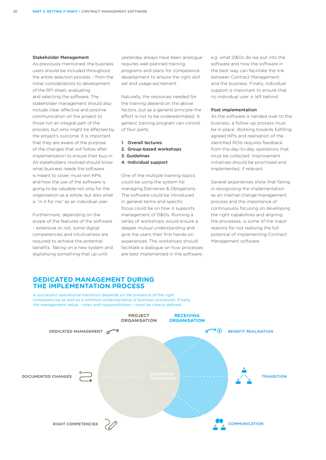#### Stakeholder Management

As previously mentioned, the business users should be included throughout the entire selection process – from the initial considerations to development of the RFI sheet, evaluating and selecting the software. The stakeholder management should also include clear, effective and positive communication on the project to those not an integral part of the process, but who might be affected by the project's outcome. It is important that they are aware of the purpose of the changes that will follow after implementation to ensure their buy-in. All stakeholders involved should know what business needs the software is meant to cover, must-win KPIs and how the use of the software is going to be valuable not only for the organisation as a whole, but also what is "in it for me" as an individual user.

Furthermore, depending on the scope of the features of the software – extensive or not, some digital competencies and intuitiveness are required to achieve the potential benefits. Taking on a new system and digitalising something that up until

yesterday always have been analogue requires well-planned training programs and plans for competence development to ensure the right skill set and usage excitement.

Naturally, the resources needed for the training depend on the above factors, but as a general principle the effort is not to be underestimated. A generic training program can consist of four parts:

- 1. Overall lectures
- 2. Group-based workshops
- 3. Guidelines
- 4. Individual support

One of the multiple training topics could be using the system for managing Deliveries & Obligations. The software could be introduced in general terms and specific focus could be on how it supports management of D&Os. Running a series of workshops would ensure a deeper mutual understanding and give the users their first hands-on experiences. The workshops should facilitate a dialogue on how processes are best implemented in the software, e.g. what D&Os do we put into the software and how the software in the best way can facilitate the link between Contract Management and the business. Finally, individual support is important to ensure that no individual user is left behind.

#### Post implementation

As the software is handed over to the business, a follow-up process must be in place. Working towards fulfilling agreed KPIs and realisation of the identified ROIs requires feedback from the day-to-day operations that must be collected. Improvement initiatives should be prioritised and implemented, if relevant.

Several experiences show that failing in recognising the implementation as an internal change management process and the importance of continuously focusing on developing the right capabilities and aligning the processes, is some of the major reasons for not realising the full potential of implementing Contract Management software.

#### **DEDICATED MANAGEMENT DURING THE IMPLEMENTATION PROCESS**

A successful operational transition depends on the presence of the right competencies as well as a common understanding of business processes. Finally, the management setup - roles and responsibilities - must be clearly defined

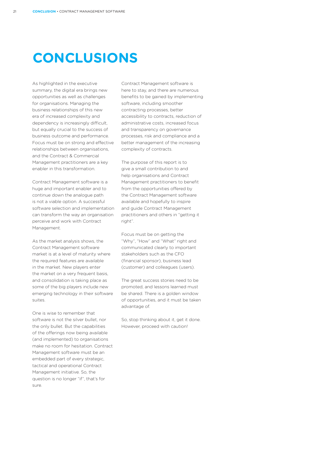## **CONCLUSIONS**

As highlighted in the executive summary, the digital era brings new opportunities as well as challenges for organisations. Managing the business relationships of this new era of increased complexity and dependency is increasingly difficult, but equally crucial to the success of business outcome and performance. Focus must be on strong and effective relationships between organisations, and the Contract & Commercial Management practitioners are a key enabler in this transformation.

Contract Management software is a huge and important enabler and to continue down the analogue path is not a viable option. A successful software selection and implementation can transform the way an organisation perceive and work with Contract Management.

As the market analysis shows, the Contract Management software market is at a level of maturity where the required features are available in the market. New players enter the market on a very frequent basis, and consolidation is taking place as some of the big players include new emerging technology in their software suites.

One is wise to remember that software is not the silver bullet, nor the only bullet. But the capabilities of the offerings now being available (and implemented) to organisations make no room for hesitation. Contract Management software must be an embedded part of every strategic, tactical and operational Contract Management initiative. So, the question is no longer "if", that's for sure.

Contract Management software is here to stay, and there are numerous benefits to be gained by implementing software, including smoother contracting processes, better accessibility to contracts, reduction of administrative costs, increased focus and transparency on governance processes, risk and compliance and a better management of the increasing complexity of contracts.

The purpose of this report is to give a small contribution to and help organisations and Contract Management practitioners to benefit from the opportunities offered by the Contract Management software available and hopefully to inspire and guide Contract Management practitioners and others in "getting it right".

Focus must be on getting the "Why", "How" and "What" right and communicated clearly to important stakeholders such as the CFO (financial sponsor), business lead (customer) and colleagues (users).

The great success stories need to be promoted, and lessons learned must be shared. There is a golden window of opportunities, and it must be taken advantage of.

So, stop thinking about it, get it done. However, proceed with caution!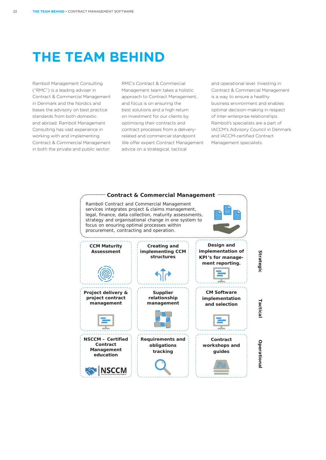$22$ 

## **THE TEAM BEHIND**

Ramboll Management Consulting ("RMC") is a leading adviser in Contract & Commercial Management in Denmark and the Nordics and bases the advisory on best practice standards from both domestic and abroad. Ramboll Management Consulting has vast experience in working with and implementing Contract & Commercial Management in both the private and public sector.

RMC's Contract & Commercial Management team takes a holistic approach to Contract Management, and focus is on ensuring the best solutions and a high return on investment for our clients by optimising their contracts and contract processes from a deliveryrelated and commercial standpoint. We offer expert Contract Management advice on a strategical, tactical

and operational level. Investing in Contract & Commercial Management is a way to ensure a healthy business environment and enables optimal decision-making in respect of inter-enterprise relationships. Ramboll's specialists are a part of IACCM's Advisory Council in Denmark and IACCM-certified Contract Management specialists.

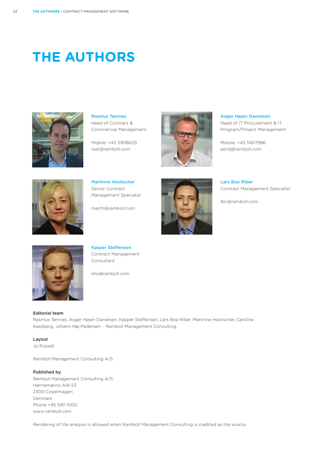## **THE AUTHORS**



Rasmus Tønnies Head of Contract & Commercial Management

Mobile: +45 51618629 rast@ramboll.com



Asger Højen Danielsen Head of IT Procurement & IT Program/Project Management

Mobile: +45 51617986 ashd@ramboll.com



Martinne Heckscher Senior Contract Management Specialist

marth@ramboll.com



Lars Boe Riber Contract Management Specialist

lbri@ramboll.com



Kasper Steffensen Contract Management Consultant

khs@ramboll.com

#### Editorial team

Rasmus Tønnies, Asger Højen Danielsen, Kasper Steffensen, Lars Boe Riber, Martinne Heckscher, Caroline Kastbjerg, Johann Høj Pedersen - Ramboll Management Consulting.

Layout Jo Posselt

Ramboll Management Consulting A/S

#### Published by

Ramboll Management Consulting A/S Hannemanns Allé 53 2300 Copenhagen Denmark Phone +45 5161 1000 www.ramboll.com

Rendering of the analysis is allowed when Ramboll Management Consulting is credited as the source.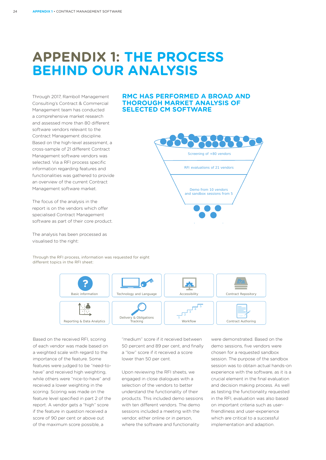### **APPENDIX 1: THE PROCESS BEHIND OUR ANALYSIS**

Through 2017, Ramboll Management Consulting's Contract & Commercial Management team has conducted a comprehensive market research and assessed more than 80 different software vendors relevant to the Contract Management discipline. Based on the high-level assessment, a cross-sample of 21 different Contract Management software vendors was selected. Via a RFI process specific information regarding features and functionalities was gathered to provide an overview of the current Contract Management software market.

The focus of the analysis in the report is on the vendors which offer specialised Contract Management software as part of their core product.

The analysis has been processed as visualised to the right:

Through the RFI process, information was requested for eight different topics in the RFI sheet:



Based on the received RFI, scoring of each vendor was made based on a weighted scale with regard to the importance of the feature. Some features were judged to be "need-tohave" and received high weighting, while others were "nice-to-have" and received a lower weighting in the scoring. Scoring was made on the feature level specified in part 2 of the report. A vendor gets a "high" score if the feature in question received a score of 90 per cent or above out of the maximum score possible, a

"medium" score if it received between 50 percent and 89 per cent, and finally a "low" score if it received a score lower than 50 per cent.

Upon reviewing the RFI sheets, we engaged in close dialogues with a selection of the vendors to better understand the functionality of their products. This included demo sessions with ten different vendors. The demo sessions included a meeting with the vendor, either online or in person, where the software and functionality

were demonstrated. Based on the demo sessions, five vendors were chosen for a requested sandbox session. The purpose of the sandbox session was to obtain actual hands-on experience with the software, as it is a crucial element in the final evaluation and decision making process. As well as testing the functionality requested in the RFI, evaluation was also based on important criteria such as userfriendliness and user-experience which are critical to a successful implementation and adaption.

#### **RMC HAS PERFORMED A BROAD AND THOROUGH MARKET ANALYSIS OF SELECTED CM SOFTWARE**